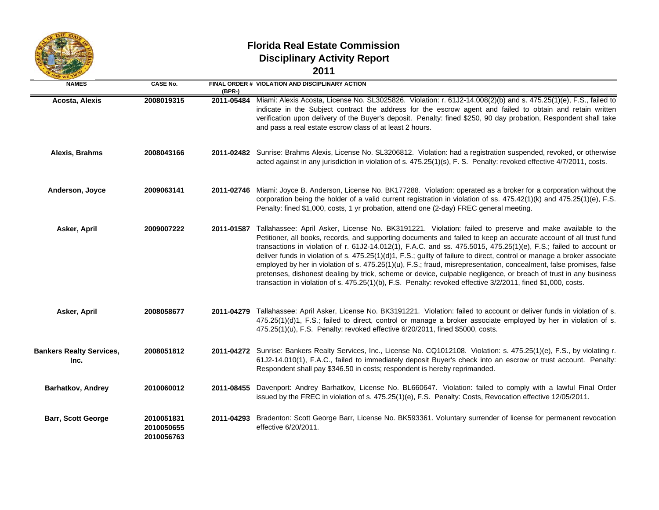

 $\equiv$ 

## **Florida Real Estate Commission Disciplinary Activity Report 2011**

| v.<br>×<br>M.<br>۰. |  |
|---------------------|--|
|                     |  |

| <b>NAMES</b>                            | <b>CASE No.</b>                        | $(BPR-)$ | FINAL ORDER # VIOLATION AND DISCIPLINARY ACTION                                                                                                                                                                                                                                                                                                                                                                                                                                                                                                                                                                                                                                                                                                                                                                                                     |
|-----------------------------------------|----------------------------------------|----------|-----------------------------------------------------------------------------------------------------------------------------------------------------------------------------------------------------------------------------------------------------------------------------------------------------------------------------------------------------------------------------------------------------------------------------------------------------------------------------------------------------------------------------------------------------------------------------------------------------------------------------------------------------------------------------------------------------------------------------------------------------------------------------------------------------------------------------------------------------|
| <b>Acosta, Alexis</b>                   | 2008019315                             |          | 2011-05484 Miami: Alexis Acosta, License No. SL3025826. Violation: r. 61J2-14.008(2)(b) and s. 475.25(1)(e), F.S., failed to<br>indicate in the Subject contract the address for the escrow agent and failed to obtain and retain written<br>verification upon delivery of the Buyer's deposit. Penalty: fined \$250, 90 day probation, Respondent shall take<br>and pass a real estate escrow class of at least 2 hours.                                                                                                                                                                                                                                                                                                                                                                                                                           |
| Alexis, Brahms                          | 2008043166                             |          | 2011-02482 Sunrise: Brahms Alexis, License No. SL3206812. Violation: had a registration suspended, revoked, or otherwise<br>acted against in any jurisdiction in violation of s. 475.25(1)(s), F. S. Penalty: revoked effective 4/7/2011, costs.                                                                                                                                                                                                                                                                                                                                                                                                                                                                                                                                                                                                    |
| Anderson, Joyce                         | 2009063141                             |          | 2011-02746 Miami: Joyce B. Anderson, License No. BK177288. Violation: operated as a broker for a corporation without the<br>corporation being the holder of a valid current registration in violation of ss. 475.42(1)(k) and 475.25(1)(e), F.S.<br>Penalty: fined \$1,000, costs, 1 yr probation, attend one (2-day) FREC general meeting.                                                                                                                                                                                                                                                                                                                                                                                                                                                                                                         |
| Asker, April                            | 2009007222                             |          | 2011-01587 Tallahassee: April Asker, License No. BK3191221. Violation: failed to preserve and make available to the<br>Petitioner, all books, records, and supporting documents and failed to keep an accurate account of all trust fund<br>transactions in violation of r. 61J2-14.012(1), F.A.C. and ss. 475.5015, 475.25(1)(e), F.S.; failed to account or<br>deliver funds in violation of s. 475.25(1)(d)1, F.S.; guilty of failure to direct, control or manage a broker associate<br>employed by her in violation of s. 475.25(1)(u), F.S.; fraud, misrepresentation, concealment, false promises, false<br>pretenses, dishonest dealing by trick, scheme or device, culpable negligence, or breach of trust in any business<br>transaction in violation of s. 475.25(1)(b), F.S. Penalty: revoked effective 3/2/2011, fined \$1,000, costs. |
| Asker, April                            | 2008058677                             |          | 2011-04279 Tallahassee: April Asker, License No. BK3191221. Violation: failed to account or deliver funds in violation of s.<br>475.25(1)(d)1, F.S.; failed to direct, control or manage a broker associate employed by her in violation of s.<br>475.25(1)(u), F.S. Penalty: revoked effective 6/20/2011, fined \$5000, costs.                                                                                                                                                                                                                                                                                                                                                                                                                                                                                                                     |
| <b>Bankers Realty Services,</b><br>Inc. | 2008051812                             |          | 2011-04272 Sunrise: Bankers Realty Services, Inc., License No. CQ1012108. Violation: s. 475.25(1)(e), F.S., by violating r.<br>61J2-14.010(1), F.A.C., failed to immediately deposit Buyer's check into an escrow or trust account. Penalty:<br>Respondent shall pay \$346.50 in costs; respondent is hereby reprimanded.                                                                                                                                                                                                                                                                                                                                                                                                                                                                                                                           |
| Barhatkov, Andrey                       | 2010060012                             |          | 2011-08455 Davenport: Andrey Barhatkov, License No. BL660647. Violation: failed to comply with a lawful Final Order<br>issued by the FREC in violation of s. 475.25(1)(e), F.S. Penalty: Costs, Revocation effective 12/05/2011.                                                                                                                                                                                                                                                                                                                                                                                                                                                                                                                                                                                                                    |
| <b>Barr, Scott George</b>               | 2010051831<br>2010050655<br>2010056763 |          | 2011-04293 Bradenton: Scott George Barr, License No. BK593361. Voluntary surrender of license for permanent revocation<br>effective 6/20/2011.                                                                                                                                                                                                                                                                                                                                                                                                                                                                                                                                                                                                                                                                                                      |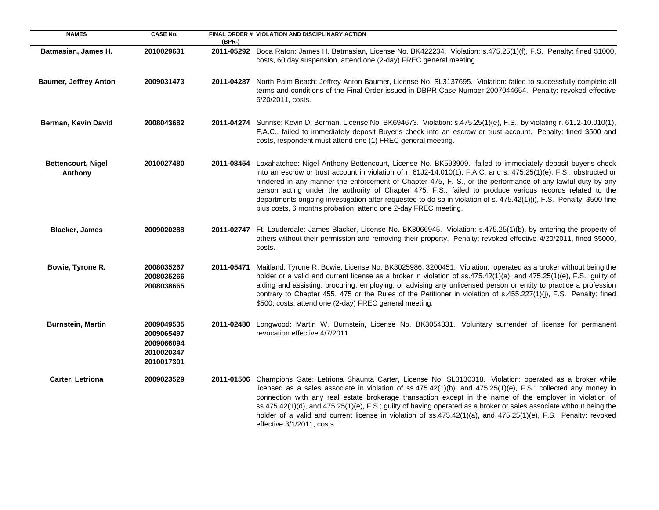| <b>NAMES</b>                         | <b>CASE No.</b>                                                    | (BPR-)     | FINAL ORDER # VIOLATION AND DISCIPLINARY ACTION                                                                                                                                                                                                                                                                                                                                                                                                                                                                                                                                                                                                                |
|--------------------------------------|--------------------------------------------------------------------|------------|----------------------------------------------------------------------------------------------------------------------------------------------------------------------------------------------------------------------------------------------------------------------------------------------------------------------------------------------------------------------------------------------------------------------------------------------------------------------------------------------------------------------------------------------------------------------------------------------------------------------------------------------------------------|
| Batmasian, James H.                  | 2010029631                                                         |            | 2011-05292 Boca Raton: James H. Batmasian, License No. BK422234. Violation: s.475.25(1)(f), F.S. Penalty: fined \$1000,<br>costs, 60 day suspension, attend one (2-day) FREC general meeting.                                                                                                                                                                                                                                                                                                                                                                                                                                                                  |
| <b>Baumer, Jeffrey Anton</b>         | 2009031473                                                         |            | 2011-04287 North Palm Beach: Jeffrey Anton Baumer, License No. SL3137695. Violation: failed to successfully complete all<br>terms and conditions of the Final Order issued in DBPR Case Number 2007044654. Penalty: revoked effective<br>6/20/2011, costs.                                                                                                                                                                                                                                                                                                                                                                                                     |
| Berman, Kevin David                  | 2008043682                                                         |            | 2011-04274 Sunrise: Kevin D. Berman, License No. BK694673. Violation: s.475.25(1)(e), F.S., by violating r. 61J2-10.010(1),<br>F.A.C., failed to immediately deposit Buyer's check into an escrow or trust account. Penalty: fined \$500 and<br>costs, respondent must attend one (1) FREC general meeting.                                                                                                                                                                                                                                                                                                                                                    |
| <b>Bettencourt, Nigel</b><br>Anthony | 2010027480                                                         |            | 2011-08454 Loxahatchee: Nigel Anthony Bettencourt, License No. BK593909. failed to immediately deposit buyer's check<br>into an escrow or trust account in violation of r. 61J2-14.010(1), F.A.C. and s. 475.25(1)(e), F.S.; obstructed or<br>hindered in any manner the enforcement of Chapter 475, F. S., or the performance of any lawful duty by any<br>person acting under the authority of Chapter 475, F.S.; failed to produce various records related to the<br>departments ongoing investigation after requested to do so in violation of s. 475.42(1)(i), F.S. Penalty: \$500 fine<br>plus costs, 6 months probation, attend one 2-day FREC meeting. |
| <b>Blacker, James</b>                | 2009020288                                                         |            | 2011-02747 Ft. Lauderdale: James Blacker, License No. BK3066945. Violation: s.475.25(1)(b), by entering the property of<br>others without their permission and removing their property. Penalty: revoked effective 4/20/2011, fined \$5000,<br>costs.                                                                                                                                                                                                                                                                                                                                                                                                          |
| Bowie, Tyrone R.                     | 2008035267<br>2008035266<br>2008038665                             | 2011-05471 | Maitland: Tyrone R. Bowie, License No. BK3025986, 3200451. Violation: operated as a broker without being the<br>holder or a valid and current license as a broker in violation of ss.475.42(1)(a), and 475.25(1)(e), F.S.; guilty of<br>aiding and assisting, procuring, employing, or advising any unlicensed person or entity to practice a profession<br>contrary to Chapter 455, 475 or the Rules of the Petitioner in violation of s.455.227(1)(j), F.S. Penalty: fined<br>\$500, costs, attend one (2-day) FREC general meeting.                                                                                                                         |
| <b>Burnstein, Martin</b>             | 2009049535<br>2009065497<br>2009066094<br>2010020347<br>2010017301 | 2011-02480 | Longwood: Martin W. Burnstein, License No. BK3054831. Voluntary surrender of license for permanent<br>revocation effective 4/7/2011.                                                                                                                                                                                                                                                                                                                                                                                                                                                                                                                           |
| Carter, Letriona                     | 2009023529                                                         |            | 2011-01506 Champions Gate: Letriona Shaunta Carter, License No. SL3130318. Violation: operated as a broker while<br>licensed as a sales associate in violation of ss.475.42(1)(b), and 475.25(1)(e), F.S.; collected any money in<br>connection with any real estate brokerage transaction except in the name of the employer in violation of<br>ss.475.42(1)(d), and 475.25(1)(e), F.S.; guilty of having operated as a broker or sales associate without being the<br>holder of a valid and current license in violation of ss.475.42(1)(a), and 475.25(1)(e), F.S. Penalty: revoked<br>effective 3/1/2011, costs.                                           |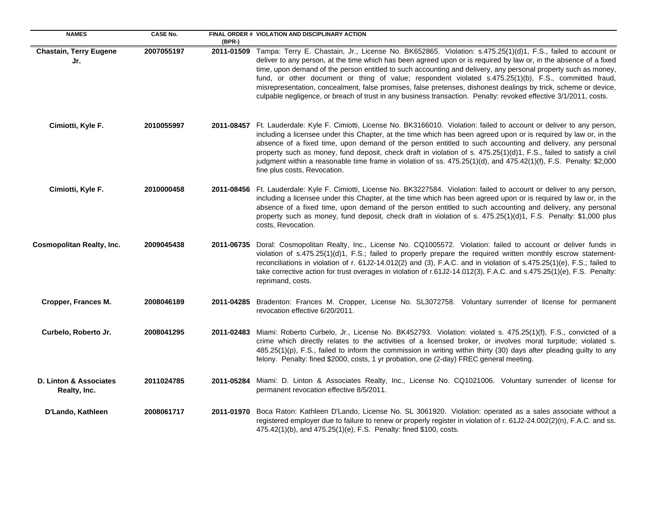| <b>NAMES</b>                           | <b>CASE No.</b> | (BPR-)     | FINAL ORDER # VIOLATION AND DISCIPLINARY ACTION                                                                                                                                                                                                                                                                                                                                                                                                                                                                                                                                                                                                                                                    |
|----------------------------------------|-----------------|------------|----------------------------------------------------------------------------------------------------------------------------------------------------------------------------------------------------------------------------------------------------------------------------------------------------------------------------------------------------------------------------------------------------------------------------------------------------------------------------------------------------------------------------------------------------------------------------------------------------------------------------------------------------------------------------------------------------|
| <b>Chastain, Terry Eugene</b><br>Jr.   | 2007055197      | 2011-01509 | Tampa: Terry E. Chastain, Jr., License No. BK652865. Violation: s.475.25(1)(d)1, F.S., failed to account or<br>deliver to any person, at the time which has been agreed upon or is required by law or, in the absence of a fixed<br>time, upon demand of the person entitled to such accounting and delivery, any personal property such as money,<br>fund, or other document or thing of value; respondent violated s.475.25(1)(b), F.S., committed fraud,<br>misrepresentation, concealment, false promises, false pretenses, dishonest dealings by trick, scheme or device,<br>culpable negligence, or breach of trust in any business transaction. Penalty: revoked effective 3/1/2011, costs. |
| Cimiotti, Kyle F.                      | 2010055997      |            | 2011-08457 Ft. Lauderdale: Kyle F. Cimiotti, License No. BK3166010. Violation: failed to account or deliver to any person,<br>including a licensee under this Chapter, at the time which has been agreed upon or is required by law or, in the<br>absence of a fixed time, upon demand of the person entitled to such accounting and delivery, any personal<br>property such as money, fund deposit, check draft in violation of s. 475.25(1)(d)1, F.S., failed to satisfy a civil<br>judgment within a reasonable time frame in violation of ss. 475.25(1)(d), and 475.42(1)(f), F.S. Penalty: \$2,000<br>fine plus costs, Revocation.                                                            |
| Cimiotti, Kyle F.                      | 2010000458      | 2011-08456 | Ft. Lauderdale: Kyle F. Cimiotti, License No. BK3227584. Violation: failed to account or deliver to any person,<br>including a licensee under this Chapter, at the time which has been agreed upon or is required by law or, in the<br>absence of a fixed time, upon demand of the person entitled to such accounting and delivery, any personal<br>property such as money, fund deposit, check draft in violation of s. 475.25(1)(d)1, F.S. Penalty: \$1,000 plus<br>costs, Revocation.                                                                                                                                                                                                           |
| <b>Cosmopolitan Realty, Inc.</b>       | 2009045438      | 2011-06735 | Doral: Cosmopolitan Realty, Inc., License No. CQ1005572. Violation: failed to account or deliver funds in<br>violation of s.475.25(1)(d)1, F.S.; failed to properly prepare the required written monthly escrow statement-<br>reconciliations in violation of r. 61J2-14.012(2) and (3), F.A.C. and in violation of s.475.25(1)(e), F.S.; failed to<br>take corrective action for trust overages in violation of r.61J2-14.012(3), F.A.C. and s.475.25(1)(e), F.S. Penalty:<br>reprimand, costs.                                                                                                                                                                                                   |
| Cropper, Frances M.                    | 2008046189      |            | 2011-04285 Bradenton: Frances M. Cropper, License No. SL3072758. Voluntary surrender of license for permanent<br>revocation effective 6/20/2011.                                                                                                                                                                                                                                                                                                                                                                                                                                                                                                                                                   |
| Curbelo, Roberto Jr.                   | 2008041295      |            | 2011-02483 Miami: Roberto Curbelo, Jr., License No. BK452793. Violation: violated s. 475.25(1)(f), F.S., convicted of a<br>crime which directly relates to the activities of a licensed broker, or involves moral turpitude; violated s.<br>485.25(1)(p), F.S., failed to inform the commission in writing within thirty (30) days after pleading guilty to any<br>felony. Penalty: fined \$2000, costs, 1 yr probation, one (2-day) FREC general meeting.                                                                                                                                                                                                                                         |
| D. Linton & Associates<br>Realty, Inc. | 2011024785      | 2011-05284 | Miami: D. Linton & Associates Realty, Inc., License No. CQ1021006. Voluntary surrender of license for<br>permanent revocation effective 8/5/2011.                                                                                                                                                                                                                                                                                                                                                                                                                                                                                                                                                  |
| D'Lando, Kathleen                      | 2008061717      |            | 2011-01970 Boca Raton: Kathleen D'Lando, License No. SL 3061920. Violation: operated as a sales associate without a<br>registered employer due to failure to renew or properly register in violation of r. 61J2-24.002(2)(n), F.A.C. and ss.<br>475.42(1)(b), and 475.25(1)(e), F.S. Penalty: fined \$100, costs.                                                                                                                                                                                                                                                                                                                                                                                  |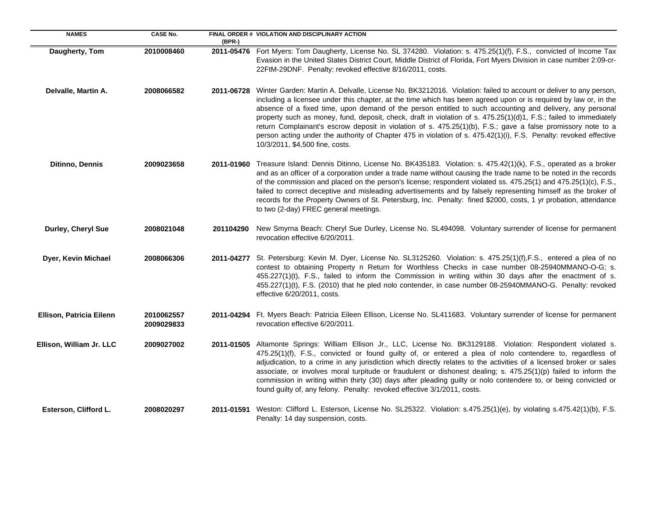| <b>NAMES</b>             | <b>CASE No.</b>          | $(BPR-)$   | FINAL ORDER # VIOLATION AND DISCIPLINARY ACTION                                                                                                                                                                                                                                                                                                                                                                                                                                                                                                                                                                                                                                                                                                |
|--------------------------|--------------------------|------------|------------------------------------------------------------------------------------------------------------------------------------------------------------------------------------------------------------------------------------------------------------------------------------------------------------------------------------------------------------------------------------------------------------------------------------------------------------------------------------------------------------------------------------------------------------------------------------------------------------------------------------------------------------------------------------------------------------------------------------------------|
| Daugherty, Tom           | 2010008460               |            | 2011-05476 Fort Myers: Tom Daugherty, License No. SL 374280. Violation: s. 475.25(1)(f), F.S., convicted of Income Tax<br>Evasion in the United States District Court, Middle District of Florida, Fort Myers Division in case number 2:09-cr-<br>22FtM-29DNF. Penalty: revoked effective 8/16/2011, costs.                                                                                                                                                                                                                                                                                                                                                                                                                                    |
| Delvalle, Martin A.      | 2008066582               | 2011-06728 | Winter Garden: Martin A. Delvalle, License No. BK3212016. Violation: failed to account or deliver to any person,<br>including a licensee under this chapter, at the time which has been agreed upon or is required by law or, in the<br>absence of a fixed time, upon demand of the person entitled to such accounting and delivery, any personal<br>property such as money, fund, deposit, check, draft in violation of s. 475.25(1)(d)1, F.S.; failed to immediately<br>return Complainant's escrow deposit in violation of s. 475.25(1)(b), F.S.; gave a false promissory note to a<br>person acting under the authority of Chapter 475 in violation of s. 475.42(1)(i), F.S. Penalty: revoked effective<br>10/3/2011, \$4,500 fine, costs. |
| <b>Ditinno, Dennis</b>   | 2009023658               |            | 2011-01960 Treasure Island: Dennis Ditinno, License No. BK435183. Violation: s. 475.42(1)(k), F.S., operated as a broker<br>and as an officer of a corporation under a trade name without causing the trade name to be noted in the records<br>of the commission and placed on the person's license; respondent violated ss. 475.25(1) and 475.25(1)(c), F.S.,<br>failed to correct deceptive and misleading advertisements and by falsely representing himself as the broker of<br>records for the Property Owners of St. Petersburg, Inc. Penalty: fined \$2000, costs, 1 yr probation, attendance<br>to two (2-day) FREC general meetings.                                                                                                  |
| Durley, Cheryl Sue       | 2008021048               | 201104290  | New Smyrna Beach: Cheryl Sue Durley, License No. SL494098. Voluntary surrender of license for permanent<br>revocation effective 6/20/2011.                                                                                                                                                                                                                                                                                                                                                                                                                                                                                                                                                                                                     |
| Dyer, Kevin Michael      | 2008066306               |            | 2011-04277 St. Petersburg: Kevin M. Dyer, License No. SL3125260. Violation: s. 475.25(1)(f), F.S., entered a plea of no<br>contest to obtaining Property n Return for Worthless Checks in case number 08-25940MMANO-O-G; s.<br>455.227(1)(t), F.S., failed to inform the Commission in writing within 30 days after the enactment of s.<br>455.227(1)(t), F.S. (2010) that he pled nolo contender, in case number 08-25940MMANO-G. Penalty: revoked<br>effective 6/20/2011, costs.                                                                                                                                                                                                                                                             |
| Ellison, Patricia Eilenn | 2010062557<br>2009029833 | 2011-04294 | Ft. Myers Beach: Patricia Eileen Ellison, License No. SL411683. Voluntary surrender of license for permanent<br>revocation effective 6/20/2011.                                                                                                                                                                                                                                                                                                                                                                                                                                                                                                                                                                                                |
| Ellison, William Jr. LLC | 2009027002               |            | 2011-01505 Altamonte Springs: William Ellison Jr., LLC, License No. BK3129188. Violation: Respondent violated s.<br>475.25(1)(f), F.S., convicted or found guilty of, or entered a plea of nolo contendere to, regardless of<br>adjudication, to a crime in any jurisdiction which directly relates to the activities of a licensed broker or sales<br>associate, or involves moral turpitude or fraudulent or dishonest dealing; s. 475.25(1)(p) failed to inform the<br>commission in writing within thirty (30) days after pleading guilty or nolo contendere to, or being convicted or<br>found guilty of, any felony. Penalty: revoked effective 3/1/2011, costs.                                                                         |
| Esterson, Clifford L.    | 2008020297               |            | 2011-01591 Weston: Clifford L. Esterson, License No. SL25322. Violation: s.475.25(1)(e), by violating s.475.42(1)(b), F.S.<br>Penalty: 14 day suspension, costs.                                                                                                                                                                                                                                                                                                                                                                                                                                                                                                                                                                               |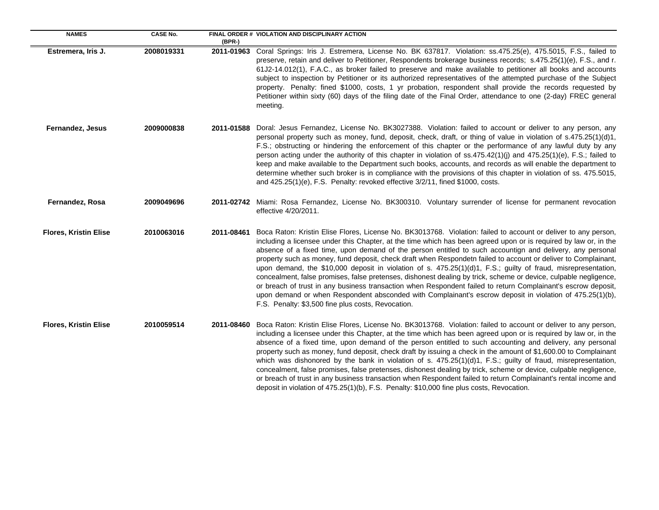| <b>NAMES</b>                 | <b>CASE No.</b> | (BPR-)     | FINAL ORDER # VIOLATION AND DISCIPLINARY ACTION                                                                                                                                                                                                                                                                                                                                                                                                                                                                                                                                                                                                                                                                                                                                                                                                                                                                                                                                            |
|------------------------------|-----------------|------------|--------------------------------------------------------------------------------------------------------------------------------------------------------------------------------------------------------------------------------------------------------------------------------------------------------------------------------------------------------------------------------------------------------------------------------------------------------------------------------------------------------------------------------------------------------------------------------------------------------------------------------------------------------------------------------------------------------------------------------------------------------------------------------------------------------------------------------------------------------------------------------------------------------------------------------------------------------------------------------------------|
| Estremera, Iris J.           | 2008019331      |            | 2011-01963 Coral Springs: Iris J. Estremera, License No. BK 637817. Violation: ss.475.25(e), 475.5015, F.S., failed to<br>preserve, retain and deliver to Petitioner, Respondents brokerage business records; s.475.25(1)(e), F.S., and r.<br>61J2-14.012(1), F.A.C., as broker failed to preserve and make available to petitioner all books and accounts<br>subject to inspection by Petitioner or its authorized representatives of the attempted purchase of the Subject<br>property. Penalty: fined \$1000, costs, 1 yr probation, respondent shall provide the records requested by<br>Petitioner within sixty (60) days of the filing date of the Final Order, attendance to one (2-day) FREC general<br>meeting.                                                                                                                                                                                                                                                                   |
| Fernandez, Jesus             | 2009000838      |            | 2011-01588 Doral: Jesus Fernandez, License No. BK3027388. Violation: failed to account or deliver to any person, any<br>personal property such as money, fund, deposit, check, draft, or thing of value in violation of s.475.25(1)(d)1,<br>F.S.; obstructing or hindering the enforcement of this chapter or the performance of any lawful duty by any<br>person acting under the authority of this chapter in violation of $ss.475.42(1)(j)$ and $475.25(1)(e)$ , F.S.; failed to<br>keep and make available to the Department such books, accounts, and records as will enable the department to<br>determine whether such broker is in compliance with the provisions of this chapter in violation of ss. 475.5015,<br>and 425.25(1)(e), F.S. Penalty: revoked effective 3/2/11, fined \$1000, costs.                                                                                                                                                                                  |
| Fernandez, Rosa              | 2009049696      |            | 2011-02742 Miami: Rosa Fernandez, License No. BK300310. Voluntary surrender of license for permanent revocation<br>effective 4/20/2011.                                                                                                                                                                                                                                                                                                                                                                                                                                                                                                                                                                                                                                                                                                                                                                                                                                                    |
| <b>Flores, Kristin Elise</b> | 2010063016      | 2011-08461 | Boca Raton: Kristin Elise Flores, License No. BK3013768. Violation: failed to account or deliver to any person,<br>including a licensee under this Chapter, at the time which has been agreed upon or is required by law or, in the<br>absence of a fixed time, upon demand of the person entitled to such accountign and delivery, any personal<br>property such as money, fund deposit, check draft when Respondetn failed to account or deliver to Complainant,<br>upon demand, the \$10,000 deposit in violation of s. 475.25(1)(d)1, F.S.; guilty of fraud, misrepresentation,<br>concealment, false promises, false pretenses, dishonest dealing by trick, scheme or device, culpable negligence,<br>or breach of trust in any business transaction when Respondent failed to return Complainant's escrow deposit,<br>upon demand or when Respondent absconded with Complainant's escrow deposit in violation of 475.25(1)(b),<br>F.S. Penalty: \$3,500 fine plus costs, Revocation. |
| <b>Flores, Kristin Elise</b> | 2010059514      |            | 2011-08460 Boca Raton: Kristin Elise Flores, License No. BK3013768. Violation: failed to account or deliver to any person,<br>including a licensee under this Chapter, at the time which has been agreed upon or is required by law or, in the<br>absence of a fixed time, upon demand of the person entitled to such accounting and delivery, any personal<br>property such as money, fund deposit, check draft by issuing a check in the amount of \$1,600.00 to Complainant<br>which was dishonored by the bank in violation of s. 475.25(1)(d)1, F.S.; guilty of fraud, misrepresentation,<br>concealment, false promises, false pretenses, dishonest dealing by trick, scheme or device, culpable negligence,<br>or breach of trust in any business transaction when Respondent failed to return Complainant's rental income and<br>deposit in violation of 475.25(1)(b), F.S. Penalty: \$10,000 fine plus costs, Revocation.                                                         |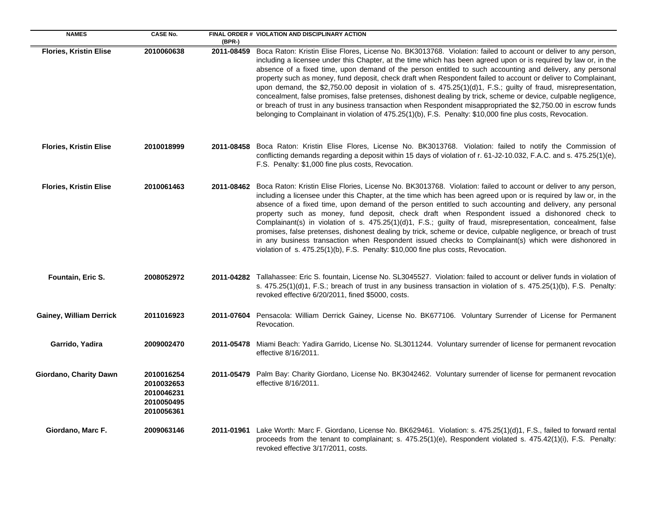| <b>NAMES</b>                   | <b>CASE No.</b>                                                    | (BPR-)     | FINAL ORDER # VIOLATION AND DISCIPLINARY ACTION                                                                                                                                                                                                                                                                                                                                                                                                                                                                                                                                                                                                                                                                                                                                                                                                                                                                                             |
|--------------------------------|--------------------------------------------------------------------|------------|---------------------------------------------------------------------------------------------------------------------------------------------------------------------------------------------------------------------------------------------------------------------------------------------------------------------------------------------------------------------------------------------------------------------------------------------------------------------------------------------------------------------------------------------------------------------------------------------------------------------------------------------------------------------------------------------------------------------------------------------------------------------------------------------------------------------------------------------------------------------------------------------------------------------------------------------|
| <b>Flories, Kristin Elise</b>  | 2010060638                                                         | 2011-08459 | Boca Raton: Kristin Elise Flores, License No. BK3013768. Violation: failed to account or deliver to any person,<br>including a licensee under this Chapter, at the time which has been agreed upon or is required by law or, in the<br>absence of a fixed time, upon demand of the person entitled to such accounting and delivery, any personal<br>property such as money, fund deposit, check draft when Respondent failed to account or deliver to Complainant,<br>upon demand, the \$2,750.00 deposit in violation of s. $475.25(1)(d)1$ , F.S.; guilty of fraud, misrepresentation,<br>concealment, false promises, false pretenses, dishonest dealing by trick, scheme or device, culpable negligence,<br>or breach of trust in any business transaction when Respondent misappropriated the \$2,750.00 in escrow funds<br>belonging to Complainant in violation of 475.25(1)(b), F.S. Penalty: \$10,000 fine plus costs, Revocation. |
| <b>Flories, Kristin Elise</b>  | 2010018999                                                         |            | 2011-08458 Boca Raton: Kristin Elise Flores, License No. BK3013768. Violation: failed to notify the Commission of<br>conflicting demands regarding a deposit within 15 days of violation of r. 61-J2-10.032, F.A.C. and s. 475.25(1)(e),<br>F.S. Penalty: \$1,000 fine plus costs, Revocation.                                                                                                                                                                                                                                                                                                                                                                                                                                                                                                                                                                                                                                              |
| <b>Flories, Kristin Elise</b>  | 2010061463                                                         | 2011-08462 | Boca Raton: Kristin Elise Flories, License No. BK3013768. Violation: failed to account or deliver to any person,<br>including a licensee under this Chapter, at the time which has been agreed upon or is required by law or, in the<br>absence of a fixed time, upon demand of the person entitled to such accounting and delivery, any personal<br>property such as money, fund deposit, check draft when Respondent issued a dishonored check to<br>Complainant(s) in violation of s. 475.25(1)(d)1, F.S.; guilty of fraud, misrepresentation, concealment, false<br>promises, false pretenses, dishonest dealing by trick, scheme or device, culpable negligence, or breach of trust<br>in any business transaction when Respondent issued checks to Complainant(s) which were dishonored in<br>violation of s. 475.25(1)(b), F.S. Penalty: \$10,000 fine plus costs, Revocation.                                                       |
| Fountain, Eric S.              | 2008052972                                                         |            | 2011-04282 Tallahassee: Eric S. fountain, License No. SL3045527. Violation: failed to account or deliver funds in violation of<br>s. 475.25(1)(d)1, F.S.; breach of trust in any business transaction in violation of s. 475.25(1)(b), F.S. Penalty:<br>revoked effective 6/20/2011, fined \$5000, costs.                                                                                                                                                                                                                                                                                                                                                                                                                                                                                                                                                                                                                                   |
| <b>Gainey, William Derrick</b> | 2011016923                                                         | 2011-07604 | Pensacola: William Derrick Gainey, License No. BK677106. Voluntary Surrender of License for Permanent<br>Revocation.                                                                                                                                                                                                                                                                                                                                                                                                                                                                                                                                                                                                                                                                                                                                                                                                                        |
| Garrido, Yadira                | 2009002470                                                         | 2011-05478 | Miami Beach: Yadira Garrido, License No. SL3011244. Voluntary surrender of license for permanent revocation<br>effective 8/16/2011.                                                                                                                                                                                                                                                                                                                                                                                                                                                                                                                                                                                                                                                                                                                                                                                                         |
| Giordano, Charity Dawn         | 2010016254<br>2010032653<br>2010046231<br>2010050495<br>2010056361 | 2011-05479 | Palm Bay: Charity Giordano, License No. BK3042462. Voluntary surrender of license for permanent revocation<br>effective 8/16/2011.                                                                                                                                                                                                                                                                                                                                                                                                                                                                                                                                                                                                                                                                                                                                                                                                          |
| Giordano, Marc F.              | 2009063146                                                         |            | 2011-01961 Lake Worth: Marc F. Giordano, License No. BK629461. Violation: s. 475.25(1)(d)1, F.S., failed to forward rental<br>proceeds from the tenant to complainant; s. 475.25(1)(e), Respondent violated s. 475.42(1)(i), F.S. Penalty:<br>revoked effective 3/17/2011, costs.                                                                                                                                                                                                                                                                                                                                                                                                                                                                                                                                                                                                                                                           |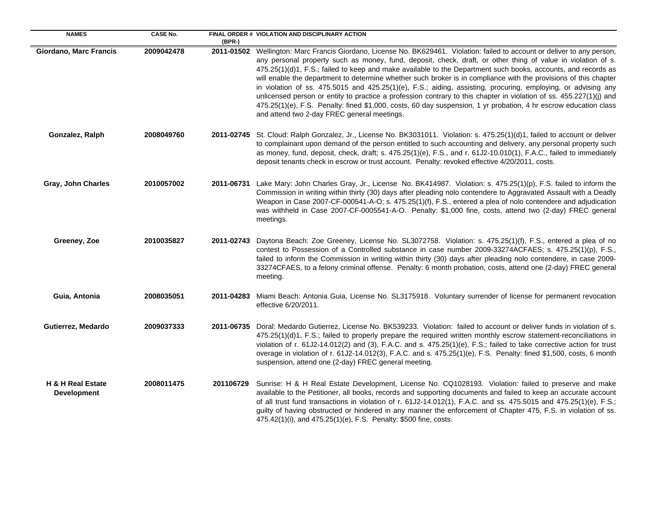| <b>NAMES</b>                            | <b>CASE No.</b> | (BPR-)     | FINAL ORDER # VIOLATION AND DISCIPLINARY ACTION                                                                                                                                                                                                                                                                                                                                                                                                                                                                                                                                                                                                                                                                                                                                                                                                                                            |
|-----------------------------------------|-----------------|------------|--------------------------------------------------------------------------------------------------------------------------------------------------------------------------------------------------------------------------------------------------------------------------------------------------------------------------------------------------------------------------------------------------------------------------------------------------------------------------------------------------------------------------------------------------------------------------------------------------------------------------------------------------------------------------------------------------------------------------------------------------------------------------------------------------------------------------------------------------------------------------------------------|
| Giordano, Marc Francis                  | 2009042478      |            | 2011-01502 Wellington: Marc Francis Giordano, License No. BK629461. Violation: failed to account or deliver to any person,<br>any personal property such as money, fund, deposit, check, draft, or other thing of value in violation of s.<br>475.25(1)(d)1, F.S.; failed to keep and make available to the Department such books, accounts, and records as<br>will enable the department to determine whether such broker is in compliance with the provisions of this chapter<br>in violation of ss. 475.5015 and 425.25(1)(e), F.S.; aiding, assisting, procuring, employing, or advising any<br>unlicensed person or entity to practice a profession contrary to this chapter in violation of ss. 455.227(1)(j) and<br>475.25(1)(e), F.S. Penalty: fined \$1,000, costs, 60 day suspension, 1 yr probation, 4 hr escrow education class<br>and attend two 2-day FREC general meetings. |
| Gonzalez, Ralph                         | 2008049760      |            | 2011-02745 St. Cloud: Ralph Gonzalez, Jr., License No. BK3031011. Violation: s. 475.25(1)(d)1, failed to account or deliver<br>to complainant upon demand of the person entitled to such accounting and delivery, any personal property such<br>as money, fund, deposit, check, draft; s. 475.25(1)(e), F.S., and r. 61J2-10.010(1), F.A.C., failed to immediately<br>deposit tenants check in escrow or trust account. Penalty: revoked effective 4/20/2011, costs.                                                                                                                                                                                                                                                                                                                                                                                                                       |
| Gray, John Charles                      | 2010057002      | 2011-06731 | Lake Mary: John Charles Gray, Jr., License No. BK414987. Violation: s. 475.25(1)(p), F.S. failed to inform the<br>Commission in writing within thirty (30) days after pleading nolo contendere to Aggravated Assault with a Deadly<br>Weapon in Case 2007-CF-000541-A-O; s. 475.25(1)(f), F.S., entered a plea of nolo contendere and adjudication<br>was withheld in Case 2007-CF-0005541-A-O. Penalty: \$1,000 fine, costs, attend two (2-day) FREC general<br>meetings.                                                                                                                                                                                                                                                                                                                                                                                                                 |
| Greeney, Zoe                            | 2010035827      |            | 2011-02743 Daytona Beach: Zoe Greeney, License No. SL3072758. Violation: s. 475.25(1)(f), F.S., entered a plea of no<br>contest to Possession of a Controlled substance in case number 2009-33274ACFAES; s. 475.25(1)(p), F.S.,<br>failed to inform the Commission in writing within thirty (30) days after pleading nolo contendere, in case 2009-<br>33274CFAES, to a felony criminal offense. Penalty: 6 month probation, costs, attend one (2-day) FREC general<br>meeting.                                                                                                                                                                                                                                                                                                                                                                                                            |
| Guia, Antonia                           | 2008035051      |            | 2011-04283 Miami Beach: Antonia Guia, License No. SL3175918. Voluntary surrender of license for permanent revocation<br>effective 6/20/2011.                                                                                                                                                                                                                                                                                                                                                                                                                                                                                                                                                                                                                                                                                                                                               |
| Gutierrez, Medardo                      | 2009037333      |            | 2011-06735 Doral: Medardo Gutierrez, License No. BK539233. Violation: failed to account or deliver funds in violation of s.<br>475.25(1)(d)1, F.S.; failed to properly prepare the required written monthly escrow statement-reconciliations in<br>violation of r. 61J2-14.012(2) and (3), F.A.C. and s. 475.25(1)(e), F.S.; failed to take corrective action for trust<br>overage in violation of r. 61J2-14.012(3), F.A.C. and s. 475.25(1)(e), F.S. Penalty: fined \$1,500, costs, 6 month<br>suspension, attend one (2-day) FREC general meeting.                                                                                                                                                                                                                                                                                                                                      |
| H & H Real Estate<br><b>Development</b> | 2008011475      | 201106729  | Sunrise: H & H Real Estate Development, License No. CQ1028193. Violation: failed to preserve and make<br>available to the Petitioner, all books, records and supporting documents and failed to keep an accurate account<br>of all trust fund transactions in violation of r. 61J2-14.012(1), F.A.C. and ss. 475.5015 and 475.25(1)(e), F.S.;<br>guilty of having obstructed or hindered in any manner the enforcement of Chapter 475, F.S. in violation of ss.<br>475.42(1)(i), and 475.25(1)(e), F.S. Penalty: \$500 fine, costs.                                                                                                                                                                                                                                                                                                                                                        |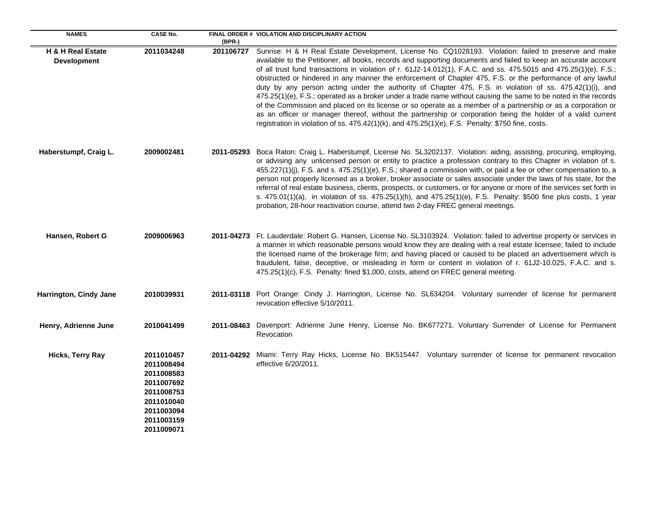| <b>NAMES</b>                            | <b>CASE No.</b>                                                                                                            | (BPR-)     | FINAL ORDER # VIOLATION AND DISCIPLINARY ACTION                                                                                                                                                                                                                                                                                                                                                                                                                                                                                                                                                                                                                                                                                                                                                                                                                                                                                                                                                                                  |
|-----------------------------------------|----------------------------------------------------------------------------------------------------------------------------|------------|----------------------------------------------------------------------------------------------------------------------------------------------------------------------------------------------------------------------------------------------------------------------------------------------------------------------------------------------------------------------------------------------------------------------------------------------------------------------------------------------------------------------------------------------------------------------------------------------------------------------------------------------------------------------------------------------------------------------------------------------------------------------------------------------------------------------------------------------------------------------------------------------------------------------------------------------------------------------------------------------------------------------------------|
| H & H Real Estate<br><b>Development</b> | 2011034248                                                                                                                 | 201106727  | Sunrise: H & H Real Estate Development, License No. CQ1028193. Violation: failed to preserve and make<br>available to the Petitioner, all books, records and supporting documents and failed to keep an accurate account<br>of all trust fund transactions in violation of r. 61J2-14.012(1), F.A.C. and ss. 475.5015 and 475.25(1)(e), F.S.;<br>obstructed or hindered in any manner the enforcement of Chapter 475, F.S. or the performance of any lawful<br>duty by any person acting under the authority of Chapter 475, F.S. in violation of ss. 475.42(1)(i), and<br>475.25(1)(e), F.S.; operated as a broker under a trade name without causing the same to be noted in the records<br>of the Commission and placed on its license or so operate as a member of a partnership or as a corporation or<br>as an officer or manager thereof, without the partnership or corporation being the holder of a valid current<br>registration in violation of ss. 475.42(1)(k), and 475.25(1)(e), F.S. Penalty: \$750 fine, costs. |
| Haberstumpf, Craig L.                   | 2009002481                                                                                                                 |            | 2011-05293 Boca Raton: Craig L. Haberstumpf, License No. SL3202137. Violation: aiding, assisting, procuring, employing,<br>or advising any unlicensed person or entity to practice a profession contrary to this Chapter in violation of s.<br>455.227(1)(j), F.S. and s. 475.25(1)(e), F.S.; shared a commission with, or paid a fee or other compensation to, a<br>person not properly licensed as a broker, broker associate or sales associate under the laws of his state, for the<br>referral of real estate business, clients, prospects, or customers, or for anyone or more of the services set forth in<br>s. 475.01(1)(a), in violation of ss. 475.25(1)(h), and 475.25(1)(e), F.S. Penalty: \$500 fine plus costs, 1 year<br>probation, 28-hour reactivation course, attend two 2-day FREC general meetings.                                                                                                                                                                                                         |
| Hansen, Robert G                        | 2009006963                                                                                                                 |            | 2011-04273 Ft. Lauderdale: Robert G. Hansen, License No. SL3103924. Violation: failed to advertise property or services in<br>a manner in which reasonable persons would know they are dealing with a real estate licensee; failed to include<br>the licensed name of the brokerage firm; and having placed or caused to be placed an advertisement which is<br>fraudulent, false, deceptive, or misleading in form or content in violation of r. 61J2-10.025, F.A.C. and s.<br>475.25(1)(c), F.S. Penalty: fined \$1,000, costs, attend on FREC general meeting.                                                                                                                                                                                                                                                                                                                                                                                                                                                                |
| Harrington, Cindy Jane                  | 2010039931                                                                                                                 |            | 2011-03118 Port Orange: Cindy J. Harrington, License No. SL634204. Voluntary surrender of license for permanent<br>revocation effective 5/10/2011.                                                                                                                                                                                                                                                                                                                                                                                                                                                                                                                                                                                                                                                                                                                                                                                                                                                                               |
| Henry, Adrienne June                    | 2010041499                                                                                                                 | 2011-08463 | Davenport: Adrienne June Henry, License No. BK677271. Voluntary Surrender of License for Permanent<br>Revocation                                                                                                                                                                                                                                                                                                                                                                                                                                                                                                                                                                                                                                                                                                                                                                                                                                                                                                                 |
| <b>Hicks, Terry Ray</b>                 | 2011010457<br>2011008494<br>2011008583<br>2011007692<br>2011008753<br>2011010040<br>2011003094<br>2011003159<br>2011009071 |            | 2011-04292 Miami: Terry Ray Hicks, License No. BK515447. Voluntary surrender of license for permanent revocation<br>effective 6/20/2011.                                                                                                                                                                                                                                                                                                                                                                                                                                                                                                                                                                                                                                                                                                                                                                                                                                                                                         |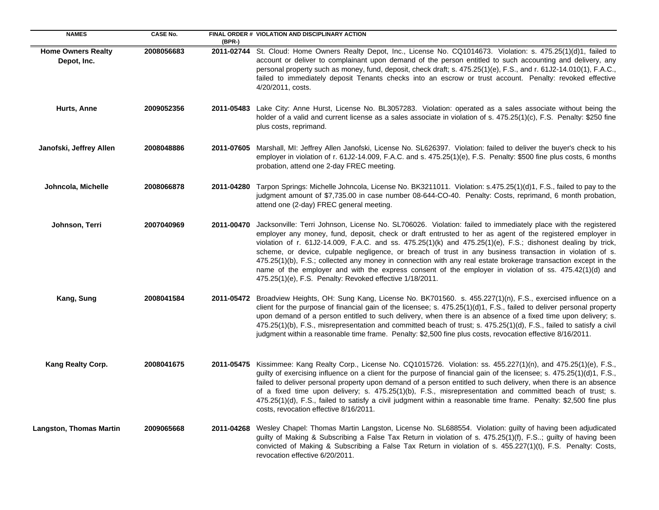| <b>NAMES</b>                             | <b>CASE No.</b> |            | FINAL ORDER # VIOLATION AND DISCIPLINARY ACTION                                                                                                                                                                                                                                                                                                                                                                                                                                                                                                                                                                                                                                                                                                 |
|------------------------------------------|-----------------|------------|-------------------------------------------------------------------------------------------------------------------------------------------------------------------------------------------------------------------------------------------------------------------------------------------------------------------------------------------------------------------------------------------------------------------------------------------------------------------------------------------------------------------------------------------------------------------------------------------------------------------------------------------------------------------------------------------------------------------------------------------------|
| <b>Home Owners Realty</b><br>Depot, Inc. | 2008056683      | (BPR-)     | 2011-02744 St. Cloud: Home Owners Realty Depot, Inc., License No. CQ1014673. Violation: s. 475.25(1)(d)1, failed to<br>account or deliver to complainant upon demand of the person entitled to such accounting and delivery, any<br>personal property such as money, fund, deposit, check draft; s. 475.25(1)(e), F.S., and r. 61J2-14.010(1), F.A.C.,<br>failed to immediately deposit Tenants checks into an escrow or trust account. Penalty: revoked effective<br>4/20/2011, costs.                                                                                                                                                                                                                                                         |
| Hurts, Anne                              | 2009052356      |            | 2011-05483 Lake City: Anne Hurst, License No. BL3057283. Violation: operated as a sales associate without being the<br>holder of a valid and current license as a sales associate in violation of s. 475.25(1)(c), F.S. Penalty: \$250 fine<br>plus costs, reprimand.                                                                                                                                                                                                                                                                                                                                                                                                                                                                           |
| Janofski, Jeffrey Allen                  | 2008048886      | 2011-07605 | Marshall, MI: Jeffrey Allen Janofski, License No. SL626397. Violation: failed to deliver the buyer's check to his<br>employer in violation of r. 61J2-14.009, F.A.C. and s. 475.25(1)(e), F.S. Penalty: \$500 fine plus costs, 6 months<br>probation, attend one 2-day FREC meeting.                                                                                                                                                                                                                                                                                                                                                                                                                                                            |
| Johncola, Michelle                       | 2008066878      | 2011-04280 | Tarpon Springs: Michelle Johncola, License No. BK3211011. Violation: s.475.25(1)(d)1, F.S., failed to pay to the<br>judgment amount of \$7,735.00 in case number 08-644-CO-40. Penalty: Costs, reprimand, 6 month probation,<br>attend one (2-day) FREC general meeting.                                                                                                                                                                                                                                                                                                                                                                                                                                                                        |
| Johnson, Terri                           | 2007040969      | 2011-00470 | Jacksonville: Terri Johnson, License No. SL706026. Violation: failed to immediately place with the registered<br>employer any money, fund, deposit, check or draft entrusted to her as agent of the registered employer in<br>violation of r. 61J2-14.009, F.A.C. and ss. 475.25(1)(k) and 475.25(1)(e), F.S.; dishonest dealing by trick,<br>scheme, or device, culpable negligence, or breach of trust in any business transaction in violation of s.<br>475.25(1)(b), F.S.; collected any money in connection with any real estate brokerage transaction except in the<br>name of the employer and with the express consent of the employer in violation of ss. 475.42(1)(d) and<br>475.25(1)(e), F.S. Penalty: Revoked effective 1/18/2011. |
| Kang, Sung                               | 2008041584      |            | 2011-05472 Broadview Heights, OH: Sung Kang, License No. BK701560. s. 455.227(1)(n), F.S., exercised influence on a<br>client for the purpose of financial gain of the licensee; s. 475.25(1)(d)1, F.S., failed to deliver personal property<br>upon demand of a person entitled to such delivery, when there is an absence of a fixed time upon delivery; s.<br>475.25(1)(b), F.S., misrepresentation and committed beach of trust; s. 475.25(1)(d), F.S., failed to satisfy a civil<br>judgment within a reasonable time frame. Penalty: \$2,500 fine plus costs, revocation effective 8/16/2011.                                                                                                                                             |
| Kang Realty Corp.                        | 2008041675      | 2011-05475 | Kissimmee: Kang Realty Corp., License No. CQ1015726. Violation: ss. 455.227(1)(n), and 475.25(1)(e), F.S.,<br>guilty of exercising influence on a client for the purpose of financial gain of the licensee; s. 475.25(1)(d)1, F.S.,<br>failed to deliver personal property upon demand of a person entitled to such delivery, when there is an absence<br>of a fixed time upon delivery; s. 475.25(1)(b), F.S., misrepresentation and committed beach of trust; s.<br>475.25(1)(d), F.S., failed to satisfy a civil judgment within a reasonable time frame. Penalty: \$2,500 fine plus<br>costs, revocation effective 8/16/2011.                                                                                                               |
| <b>Langston, Thomas Martin</b>           | 2009065668      | 2011-04268 | Wesley Chapel: Thomas Martin Langston, License No. SL688554. Violation: guilty of having been adjudicated<br>guilty of Making & Subscribing a False Tax Return in violation of s. 475.25(1)(f), F.S; guilty of having been<br>convicted of Making & Subscribing a False Tax Return in violation of s. 455.227(1)(t), F.S. Penalty: Costs,<br>revocation effective 6/20/2011.                                                                                                                                                                                                                                                                                                                                                                    |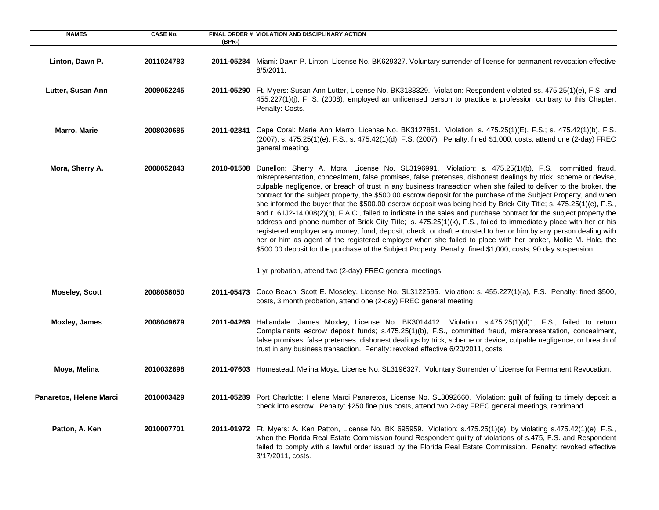| <b>NAMES</b>            | <b>CASE No.</b> | (BPR-)     | FINAL ORDER # VIOLATION AND DISCIPLINARY ACTION                                                                                                                                                                                                                                                                                                                                                                                                                                                                                                                                                                                                                                                                                                                                                                                                                                                                                                                                                                                                                                                                                                                                       |
|-------------------------|-----------------|------------|---------------------------------------------------------------------------------------------------------------------------------------------------------------------------------------------------------------------------------------------------------------------------------------------------------------------------------------------------------------------------------------------------------------------------------------------------------------------------------------------------------------------------------------------------------------------------------------------------------------------------------------------------------------------------------------------------------------------------------------------------------------------------------------------------------------------------------------------------------------------------------------------------------------------------------------------------------------------------------------------------------------------------------------------------------------------------------------------------------------------------------------------------------------------------------------|
| Linton, Dawn P.         | 2011024783      |            | 2011-05284 Miami: Dawn P. Linton, License No. BK629327. Voluntary surrender of license for permanent revocation effective<br>8/5/2011.                                                                                                                                                                                                                                                                                                                                                                                                                                                                                                                                                                                                                                                                                                                                                                                                                                                                                                                                                                                                                                                |
| Lutter, Susan Ann       | 2009052245      | 2011-05290 | Ft. Myers: Susan Ann Lutter, License No. BK3188329. Violation: Respondent violated ss. 475.25(1)(e), F.S. and<br>455.227(1)(j), F. S. (2008), employed an unlicensed person to practice a profession contrary to this Chapter.<br>Penalty: Costs.                                                                                                                                                                                                                                                                                                                                                                                                                                                                                                                                                                                                                                                                                                                                                                                                                                                                                                                                     |
| Marro, Marie            | 2008030685      | 2011-02841 | Cape Coral: Marie Ann Marro, License No. BK3127851. Violation: s. 475.25(1)(E), F.S.; s. 475.42(1)(b), F.S.<br>(2007); s. 475.25(1)(e), F.S.; s. 475.42(1)(d), F.S. (2007). Penalty: fined \$1,000, costs, attend one (2-day) FREC<br>general meeting.                                                                                                                                                                                                                                                                                                                                                                                                                                                                                                                                                                                                                                                                                                                                                                                                                                                                                                                                |
| Mora, Sherry A.         | 2008052843      | 2010-01508 | Dunellon: Sherry A. Mora, License No. SL3196991. Violation: s. 475.25(1)(b), F.S. committed fraud,<br>misrepresentation, concealment, false promises, false pretenses, dishonest dealings by trick, scheme or devise,<br>culpable negligence, or breach of trust in any business transaction when she failed to deliver to the broker, the<br>contract for the subject property, the \$500.00 escrow deposit for the purchase of the Subject Property, and when<br>she informed the buyer that the \$500.00 escrow deposit was being held by Brick City Title; s. 475.25(1)(e), F.S.,<br>and r. 61J2-14.008(2)(b), F.A.C., failed to indicate in the sales and purchase contract for the subject property the<br>address and phone number of Brick City Title; s. 475.25(1)(k), F.S., failed to immediately place with her or his<br>registered employer any money, fund, deposit, check, or draft entrusted to her or him by any person dealing with<br>her or him as agent of the registered employer when she failed to place with her broker, Mollie M. Hale, the<br>\$500.00 deposit for the purchase of the Subject Property. Penalty: fined \$1,000, costs, 90 day suspension, |
|                         |                 |            | 1 yr probation, attend two (2-day) FREC general meetings.                                                                                                                                                                                                                                                                                                                                                                                                                                                                                                                                                                                                                                                                                                                                                                                                                                                                                                                                                                                                                                                                                                                             |
| <b>Moseley, Scott</b>   | 2008058050      | 2011-05473 | Coco Beach: Scott E. Moseley, License No. SL3122595. Violation: s. 455.227(1)(a), F.S. Penalty: fined \$500,<br>costs, 3 month probation, attend one (2-day) FREC general meeting.                                                                                                                                                                                                                                                                                                                                                                                                                                                                                                                                                                                                                                                                                                                                                                                                                                                                                                                                                                                                    |
| <b>Moxley, James</b>    | 2008049679      | 2011-04269 | Hallandale: James Moxley, License No. BK3014412. Violation: s.475.25(1)(d)1, F.S., failed to return<br>Complainants escrow deposit funds; s.475.25(1)(b), F.S., committed fraud, misrepresentation, concealment,<br>false promises, false pretenses, dishonest dealings by trick, scheme or device, culpable negligence, or breach of<br>trust in any business transaction. Penalty: revoked effective 6/20/2011, costs.                                                                                                                                                                                                                                                                                                                                                                                                                                                                                                                                                                                                                                                                                                                                                              |
| Moya, Melina            | 2010032898      |            | 2011-07603 Homestead: Melina Moya, License No. SL3196327. Voluntary Surrender of License for Permanent Revocation.                                                                                                                                                                                                                                                                                                                                                                                                                                                                                                                                                                                                                                                                                                                                                                                                                                                                                                                                                                                                                                                                    |
| Panaretos, Helene Marci | 2010003429      |            | 2011-05289 Port Charlotte: Helene Marci Panaretos, License No. SL3092660. Violation: guilt of failing to timely deposit a<br>check into escrow. Penalty: \$250 fine plus costs, attend two 2-day FREC general meetings, reprimand.                                                                                                                                                                                                                                                                                                                                                                                                                                                                                                                                                                                                                                                                                                                                                                                                                                                                                                                                                    |
| Patton, A. Ken          | 2010007701      |            | 2011-01972 Ft. Myers: A. Ken Patton, License No. BK 695959. Violation: s.475.25(1)(e), by violating s.475.42(1)(e), F.S.,<br>when the Florida Real Estate Commission found Respondent guilty of violations of s.475, F.S. and Respondent<br>failed to comply with a lawful order issued by the Florida Real Estate Commission. Penalty: revoked effective<br>3/17/2011, costs.                                                                                                                                                                                                                                                                                                                                                                                                                                                                                                                                                                                                                                                                                                                                                                                                        |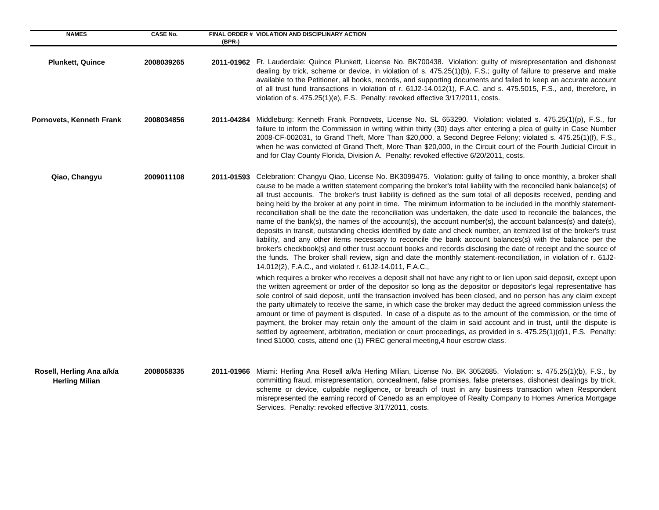| <b>NAMES</b>                                       | <b>CASE No.</b> | $(BPR-)$   | FINAL ORDER # VIOLATION AND DISCIPLINARY ACTION                                                                                                                                                                                                                                                                                                                                                                                                                                                                                                                                                                                                                                                                                                                                                                                                                                                                                                                                                                                                                                                                                                                                                                                                             |
|----------------------------------------------------|-----------------|------------|-------------------------------------------------------------------------------------------------------------------------------------------------------------------------------------------------------------------------------------------------------------------------------------------------------------------------------------------------------------------------------------------------------------------------------------------------------------------------------------------------------------------------------------------------------------------------------------------------------------------------------------------------------------------------------------------------------------------------------------------------------------------------------------------------------------------------------------------------------------------------------------------------------------------------------------------------------------------------------------------------------------------------------------------------------------------------------------------------------------------------------------------------------------------------------------------------------------------------------------------------------------|
| <b>Plunkett, Quince</b>                            | 2008039265      |            | 2011-01962 Ft. Lauderdale: Quince Plunkett, License No. BK700438. Violation: guilty of misrepresentation and dishonest<br>dealing by trick, scheme or device, in violation of s. 475.25(1)(b), F.S.; guilty of failure to preserve and make<br>available to the Petitioner, all books, records, and supporting documents and failed to keep an accurate account<br>of all trust fund transactions in violation of r. 61J2-14.012(1), F.A.C. and s. 475.5015, F.S., and, therefore, in<br>violation of s. 475.25(1)(e), F.S. Penalty: revoked effective 3/17/2011, costs.                                                                                                                                                                                                                                                                                                                                                                                                                                                                                                                                                                                                                                                                                    |
| Pornovets, Kenneth Frank                           | 2008034856      |            | 2011-04284 Middleburg: Kenneth Frank Pornovets, License No. SL 653290. Violation: violated s. 475.25(1)(p), F.S., for<br>failure to inform the Commission in writing within thirty (30) days after entering a plea of guilty in Case Number<br>2008-CF-002031, to Grand Theft, More Than \$20,000, a Second Degree Felony; violated s. 475.25(1)(f), F.S.,<br>when he was convicted of Grand Theft, More Than \$20,000, in the Circuit court of the Fourth Judicial Circuit in<br>and for Clay County Florida, Division A. Penalty: revoked effective 6/20/2011, costs.                                                                                                                                                                                                                                                                                                                                                                                                                                                                                                                                                                                                                                                                                     |
| Qiao, Changyu                                      | 2009011108      | 2011-01593 | Celebration: Changyu Qiao, License No. BK3099475. Violation: guilty of failing to once monthly, a broker shall<br>cause to be made a written statement comparing the broker's total liability with the reconciled bank balance(s) of<br>all trust accounts. The broker's trust liability is defined as the sum total of all deposits received, pending and<br>being held by the broker at any point in time. The minimum information to be included in the monthly statement-<br>reconciliation shall be the date the reconciliation was undertaken, the date used to reconcile the balances, the<br>name of the bank(s), the names of the account(s), the account number(s), the account balances(s) and date(s),<br>deposits in transit, outstanding checks identified by date and check number, an itemized list of the broker's trust<br>liability, and any other items necessary to reconcile the bank account balances(s) with the balance per the<br>broker's checkbook(s) and other trust account books and records disclosing the date of receipt and the source of<br>the funds. The broker shall review, sign and date the monthly statement-reconciliation, in violation of r. 61J2-<br>14.012(2), F.A.C., and violated r. 61J2-14.011, F.A.C., |
|                                                    |                 |            | which requires a broker who receives a deposit shall not have any right to or lien upon said deposit, except upon<br>the written agreement or order of the depositor so long as the depositor or depositor's legal representative has<br>sole control of said deposit, until the transaction involved has been closed, and no person has any claim except<br>the party ultimately to receive the same, in which case the broker may deduct the agreed commission unless the<br>amount or time of payment is disputed. In case of a dispute as to the amount of the commission, or the time of<br>payment, the broker may retain only the amount of the claim in said account and in trust, until the dispute is<br>settled by agreement, arbitration, mediation or court proceedings, as provided in s. 475.25(1)(d)1, F.S. Penalty:<br>fined \$1000, costs, attend one (1) FREC general meeting, 4 hour escrow class.                                                                                                                                                                                                                                                                                                                                      |
| Rosell, Herling Ana a/k/a<br><b>Herling Milian</b> | 2008058335      |            | 2011-01966 Miami: Herling Ana Rosell a/k/a Herling Milian, License No. BK 3052685. Violation: s. 475.25(1)(b), F.S., by<br>committing fraud, misrepresentation, concealment, false promises, false pretenses, dishonest dealings by trick,<br>scheme or device, culpable negligence, or breach of trust in any business transaction when Respondent<br>misrepresented the earning record of Cenedo as an employee of Realty Company to Homes America Mortgage<br>Services. Penalty: revoked effective 3/17/2011, costs.                                                                                                                                                                                                                                                                                                                                                                                                                                                                                                                                                                                                                                                                                                                                     |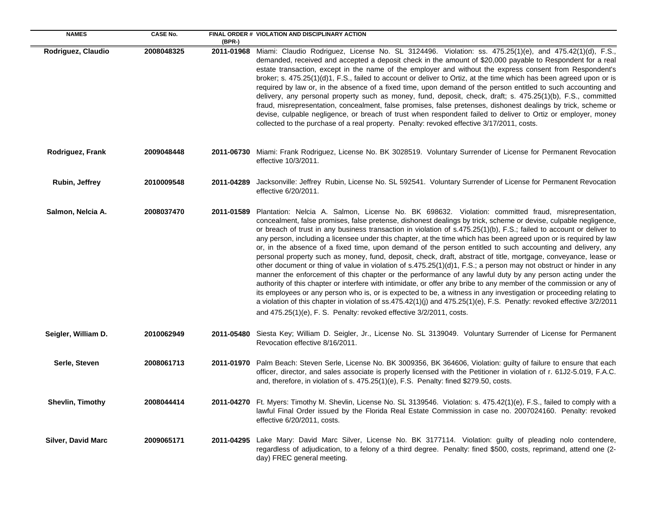| <b>NAMES</b>              | <b>CASE No.</b> |            | FINAL ORDER # VIOLATION AND DISCIPLINARY ACTION                                                                                                                                                                                                                                                                                                                                                                                                                                                                                                                                                                                                                                                                                                                                                                                                                                                                                                                                                                                                                                                                                                                                                                                                                                                                                                                                                       |
|---------------------------|-----------------|------------|-------------------------------------------------------------------------------------------------------------------------------------------------------------------------------------------------------------------------------------------------------------------------------------------------------------------------------------------------------------------------------------------------------------------------------------------------------------------------------------------------------------------------------------------------------------------------------------------------------------------------------------------------------------------------------------------------------------------------------------------------------------------------------------------------------------------------------------------------------------------------------------------------------------------------------------------------------------------------------------------------------------------------------------------------------------------------------------------------------------------------------------------------------------------------------------------------------------------------------------------------------------------------------------------------------------------------------------------------------------------------------------------------------|
| Rodriguez, Claudio        | 2008048325      | (BPR-)     | <b>2011-01968</b> Miami: Claudio Rodriguez, License No. SL 3124496. Violation: ss. 475.25(1)(e), and 475.42(1)(d), F.S.,<br>demanded, received and accepted a deposit check in the amount of \$20,000 payable to Respondent for a real<br>estate transaction, except in the name of the employer and without the express consent from Respondent's<br>broker; s. 475.25(1)(d)1, F.S., failed to account or deliver to Ortiz, at the time which has been agreed upon or is<br>required by law or, in the absence of a fixed time, upon demand of the person entitled to such accounting and<br>delivery, any personal property such as money, fund, deposit, check, draft; s. 475.25(1)(b), F.S., committed<br>fraud, misrepresentation, concealment, false promises, false pretenses, dishonest dealings by trick, scheme or<br>devise, culpable negligence, or breach of trust when respondent failed to deliver to Ortiz or employer, money<br>collected to the purchase of a real property. Penalty: revoked effective 3/17/2011, costs.                                                                                                                                                                                                                                                                                                                                                           |
| Rodriguez, Frank          | 2009048448      |            | 2011-06730 Miami: Frank Rodriguez, License No. BK 3028519. Voluntary Surrender of License for Permanent Revocation<br>effective 10/3/2011.                                                                                                                                                                                                                                                                                                                                                                                                                                                                                                                                                                                                                                                                                                                                                                                                                                                                                                                                                                                                                                                                                                                                                                                                                                                            |
| <b>Rubin, Jeffrey</b>     | 2010009548      | 2011-04289 | Jacksonville: Jeffrey Rubin, License No. SL 592541. Voluntary Surrender of License for Permanent Revocation<br>effective 6/20/2011.                                                                                                                                                                                                                                                                                                                                                                                                                                                                                                                                                                                                                                                                                                                                                                                                                                                                                                                                                                                                                                                                                                                                                                                                                                                                   |
| Salmon, Nelcia A.         | 2008037470      |            | 2011-01589 Plantation: Nelcia A. Salmon, License No. BK 698632. Violation: committed fraud, misrepresentation,<br>concealment, false promises, false pretense, dishonest dealings by trick, scheme or devise, culpable negligence,<br>or breach of trust in any business transaction in violation of s.475.25(1)(b), F.S.; failed to account or deliver to<br>any person, including a licensee under this chapter, at the time which has been agreed upon or is required by law<br>or, in the absence of a fixed time, upon demand of the person entitled to such accounting and delivery, any<br>personal property such as money, fund, deposit, check, draft, abstract of title, mortgage, conveyance, lease or<br>other document or thing of value in violation of s.475.25(1)(d)1, F.S.; a person may not obstruct or hinder in any<br>manner the enforcement of this chapter or the performance of any lawful duty by any person acting under the<br>authority of this chapter or interfere with intimidate, or offer any bribe to any member of the commission or any of<br>its employees or any person who is, or is expected to be, a witness in any investigation or proceeding relating to<br>a violation of this chapter in violation of ss.475.42(1)(j) and 475.25(1)(e), F.S. Penatly: revoked effective 3/2/2011<br>and 475.25(1)(e), F. S. Penalty: revoked effective 3/2/2011, costs. |
| Seigler, William D.       | 2010062949      |            | 2011-05480 Siesta Key; William D. Seigler, Jr., License No. SL 3139049. Voluntary Surrender of License for Permanent<br>Revocation effective 8/16/2011.                                                                                                                                                                                                                                                                                                                                                                                                                                                                                                                                                                                                                                                                                                                                                                                                                                                                                                                                                                                                                                                                                                                                                                                                                                               |
| Serle, Steven             | 2008061713      |            | 2011-01970 Palm Beach: Steven Serle, License No. BK 3009356, BK 364606, Violation: guilty of failure to ensure that each<br>officer, director, and sales associate is properly licensed with the Petitioner in violation of r. 61J2-5.019, F.A.C.<br>and, therefore, in violation of s. $475.25(1)(e)$ , F.S. Penalty: fined \$279.50, costs.                                                                                                                                                                                                                                                                                                                                                                                                                                                                                                                                                                                                                                                                                                                                                                                                                                                                                                                                                                                                                                                         |
| Shevlin, Timothy          | 2008044414      |            | 2011-04270 Ft. Myers: Timothy M. Shevlin, License No. SL 3139546. Violation: s. 475.42(1)(e), F.S., failed to comply with a<br>lawful Final Order issued by the Florida Real Estate Commission in case no. 2007024160. Penalty: revoked<br>effective 6/20/2011, costs.                                                                                                                                                                                                                                                                                                                                                                                                                                                                                                                                                                                                                                                                                                                                                                                                                                                                                                                                                                                                                                                                                                                                |
| <b>Silver, David Marc</b> | 2009065171      |            | 2011-04295 Lake Mary: David Marc Silver, License No. BK 3177114. Violation: guilty of pleading nolo contendere,<br>regardless of adjudication, to a felony of a third degree. Penalty: fined \$500, costs, reprimand, attend one (2-<br>day) FREC general meeting.                                                                                                                                                                                                                                                                                                                                                                                                                                                                                                                                                                                                                                                                                                                                                                                                                                                                                                                                                                                                                                                                                                                                    |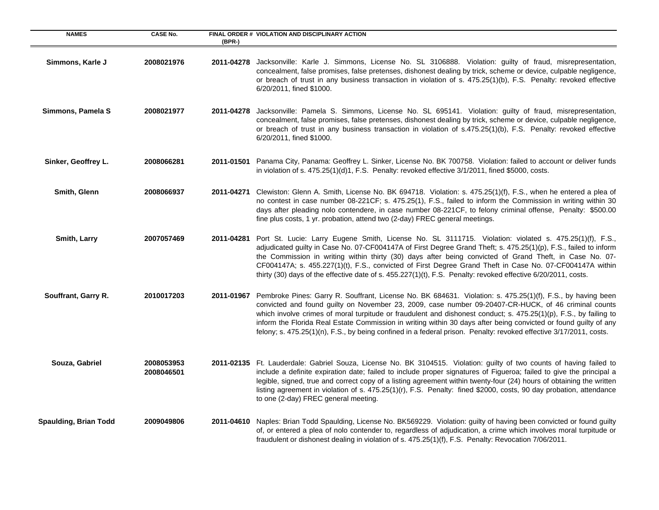| <b>NAMES</b>          | <b>CASE No.</b>          | (BPR-)     | FINAL ORDER # VIOLATION AND DISCIPLINARY ACTION                                                                                                                                                                                                                                                                                                                                                                                                                                                                                                                                               |
|-----------------------|--------------------------|------------|-----------------------------------------------------------------------------------------------------------------------------------------------------------------------------------------------------------------------------------------------------------------------------------------------------------------------------------------------------------------------------------------------------------------------------------------------------------------------------------------------------------------------------------------------------------------------------------------------|
| Simmons, Karle J      | 2008021976               | 2011-04278 | Jacksonville: Karle J. Simmons, License No. SL 3106888. Violation: guilty of fraud, misrepresentation,<br>concealment, false promises, false pretenses, dishonest dealing by trick, scheme or device, culpable negligence,<br>or breach of trust in any business transaction in violation of s. 475.25(1)(b), F.S. Penalty: revoked effective<br>6/20/2011, fined \$1000.                                                                                                                                                                                                                     |
| Simmons, Pamela S     | 2008021977               |            | 2011-04278 Jacksonville: Pamela S. Simmons, License No. SL 695141. Violation: guilty of fraud, misrepresentation,<br>concealment, false promises, false pretenses, dishonest dealing by trick, scheme or device, culpable negligence,<br>or breach of trust in any business transaction in violation of s.475.25(1)(b), F.S. Penalty: revoked effective<br>6/20/2011, fined \$1000.                                                                                                                                                                                                           |
| Sinker, Geoffrey L.   | 2008066281               |            | 2011-01501 Panama City, Panama: Geoffrey L. Sinker, License No. BK 700758. Violation: failed to account or deliver funds<br>in violation of s. 475.25(1)(d)1, F.S. Penalty: revoked effective 3/1/2011, fined \$5000, costs.                                                                                                                                                                                                                                                                                                                                                                  |
| Smith, Glenn          | 2008066937               | 2011-04271 | Clewiston: Glenn A. Smith, License No. BK 694718. Violation: s. 475.25(1)(f), F.S., when he entered a plea of<br>no contest in case number 08-221CF; s. 475.25(1), F.S., failed to inform the Commission in writing within 30<br>days after pleading nolo contendere, in case number 08-221CF, to felony criminal offense, Penalty: \$500.00<br>fine plus costs, 1 yr. probation, attend two (2-day) FREC general meetings.                                                                                                                                                                   |
| Smith, Larry          | 2007057469               | 2011-04281 | Port St. Lucie: Larry Eugene Smith, License No. SL 3111715. Violation: violated s. 475.25(1)(f), F.S.,<br>adjudicated guilty in Case No. 07-CF004147A of First Degree Grand Theft; s. 475.25(1)(p), F.S., failed to inform<br>the Commission in writing within thirty (30) days after being convicted of Grand Theft, in Case No. 07-<br>CF004147A; s. 455.227(1)(t), F.S., convicted of First Degree Grand Theft in Case No. 07-CF004147A within<br>thirty (30) days of the effective date of s. 455.227(1)(t), F.S. Penalty: revoked effective 6/20/2011, costs.                            |
| Souffrant, Garry R.   | 2010017203               |            | 2011-01967 Pembroke Pines: Garry R. Souffrant, License No. BK 684631. Violation: s. 475.25(1)(f), F.S., by having been<br>convicted and found guilty on November 23, 2009, case number 09-20407-CR-HUCK, of 46 criminal counts<br>which involve crimes of moral turpitude or fraudulent and dishonest conduct; s. 475.25(1)(p), F.S., by failing to<br>inform the Florida Real Estate Commission in writing within 30 days after being convicted or found guilty of any<br>felony; s. 475.25(1)(n), F.S., by being confined in a federal prison. Penalty: revoked effective 3/17/2011, costs. |
| Souza, Gabriel        | 2008053953<br>2008046501 |            | 2011-02135 Ft. Lauderdale: Gabriel Souza, License No. BK 3104515. Violation: guilty of two counts of having failed to<br>include a definite expiration date; failed to include proper signatures of Figueroa; failed to give the principal a<br>legible, signed, true and correct copy of a listing agreement within twenty-four (24) hours of obtaining the written<br>listing agreement in violation of s. 475.25(1)(r), F.S. Penalty: fined \$2000, costs, 90 day probation, attendance<br>to one (2-day) FREC general meeting.                                                            |
| Spaulding, Brian Todd | 2009049806               |            | 2011-04610 Naples: Brian Todd Spaulding, License No. BK569229. Violation: guilty of having been convicted or found guilty<br>of, or entered a plea of nolo contender to, regardless of adjudication, a crime which involves moral turpitude or<br>fraudulent or dishonest dealing in violation of s. 475.25(1)(f), F.S. Penalty: Revocation 7/06/2011.                                                                                                                                                                                                                                        |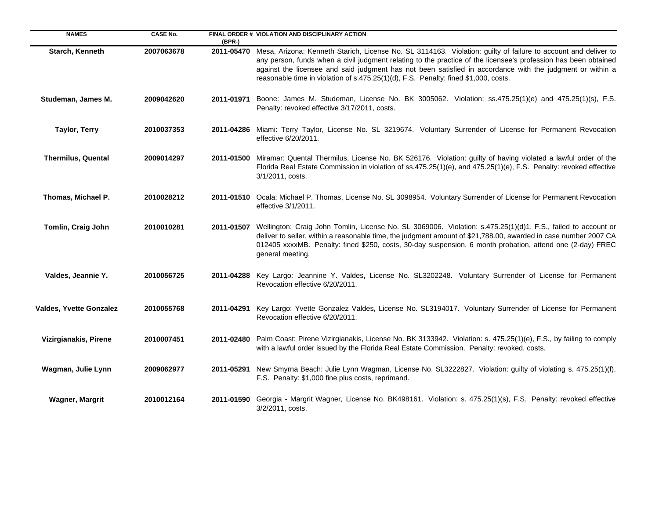| <b>NAMES</b>                   | <b>CASE No.</b> | (BPR-)     | FINAL ORDER # VIOLATION AND DISCIPLINARY ACTION                                                                                                                                                                                                                                                                                                                                                                                       |
|--------------------------------|-----------------|------------|---------------------------------------------------------------------------------------------------------------------------------------------------------------------------------------------------------------------------------------------------------------------------------------------------------------------------------------------------------------------------------------------------------------------------------------|
| Starch, Kenneth                | 2007063678      | 2011-05470 | Mesa, Arizona: Kenneth Starich, License No. SL 3114163. Violation: guilty of failure to account and deliver to<br>any person, funds when a civil judgment relating to the practice of the licensee's profession has been obtained<br>against the licensee and said judgment has not been satisfied in accordance with the judgment or within a<br>reasonable time in violation of s.475.25(1)(d), F.S. Penalty: fined \$1,000, costs. |
| Studeman, James M.             | 2009042620      | 2011-01971 | Boone: James M. Studeman, License No. BK 3005062. Violation: ss.475.25(1)(e) and 475.25(1)(s), F.S.<br>Penalty: revoked effective 3/17/2011, costs.                                                                                                                                                                                                                                                                                   |
| <b>Taylor, Terry</b>           | 2010037353      |            | 2011-04286 Miami: Terry Taylor, License No. SL 3219674. Voluntary Surrender of License for Permanent Revocation<br>effective 6/20/2011.                                                                                                                                                                                                                                                                                               |
| <b>Thermilus, Quental</b>      | 2009014297      |            | 2011-01500 Miramar: Quental Thermilus, License No. BK 526176. Violation: guilty of having violated a lawful order of the<br>Florida Real Estate Commission in violation of ss.475.25(1)(e), and 475.25(1)(e), F.S. Penalty: revoked effective<br>3/1/2011, costs.                                                                                                                                                                     |
| Thomas, Michael P.             | 2010028212      |            | 2011-01510 Ocala: Michael P. Thomas, License No. SL 3098954. Voluntary Surrender of License for Permanent Revocation<br>effective 3/1/2011.                                                                                                                                                                                                                                                                                           |
| Tomlin, Craig John             | 2010010281      |            | 2011-01507 Wellington: Craig John Tomlin, License No. SL 3069006. Violation: s.475.25(1)(d)1, F.S., failed to account or<br>deliver to seller, within a reasonable time, the judgment amount of \$21,788.00, awarded in case number 2007 CA<br>012405 xxxxMB. Penalty: fined \$250, costs, 30-day suspension, 6 month probation, attend one (2-day) FREC<br>general meeting.                                                          |
| Valdes, Jeannie Y.             | 2010056725      |            | 2011-04288 Key Largo: Jeannine Y. Valdes, License No. SL3202248. Voluntary Surrender of License for Permanent<br>Revocation effective 6/20/2011.                                                                                                                                                                                                                                                                                      |
| <b>Valdes, Yvette Gonzalez</b> | 2010055768      | 2011-04291 | Key Largo: Yvette Gonzalez Valdes, License No. SL3194017. Voluntary Surrender of License for Permanent<br>Revocation effective 6/20/2011.                                                                                                                                                                                                                                                                                             |
| Vizirgianakis, Pirene          | 2010007451      |            | 2011-02480 Palm Coast: Pirene Vizirgianakis, License No. BK 3133942. Violation: s. 475.25(1)(e), F.S., by failing to comply<br>with a lawful order issued by the Florida Real Estate Commission. Penalty: revoked, costs.                                                                                                                                                                                                             |
| Wagman, Julie Lynn             | 2009062977      |            | 2011-05291 New Smyrna Beach: Julie Lynn Wagman, License No. SL3222827. Violation: guilty of violating s. 475.25(1)(f),<br>F.S. Penalty: \$1,000 fine plus costs, reprimand.                                                                                                                                                                                                                                                           |
| <b>Wagner, Margrit</b>         | 2010012164      |            | 2011-01590 Georgia - Margrit Wagner, License No. BK498161. Violation: s. 475.25(1)(s), F.S. Penalty: revoked effective<br>3/2/2011, costs.                                                                                                                                                                                                                                                                                            |